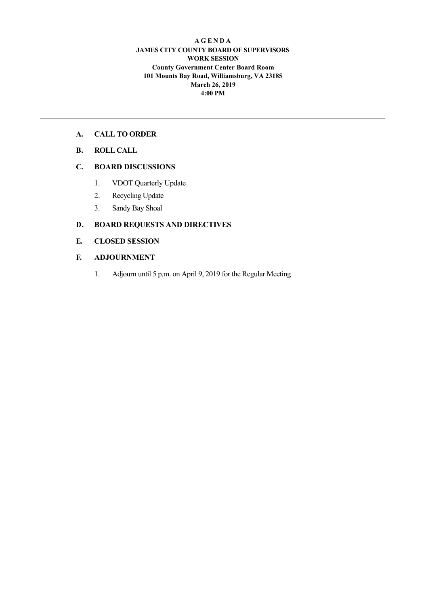#### **A G E N D A JAMES CITY COUNTY BOARD OF SUPERVISORS WORK SESSION County Government Center Board Room 101 Mounts Bay Road, Williamsburg, VA 23185 March 26, 2019 4:00 PM**

#### **A. CALL TO ORDER**

**B. ROLL CALL**

#### **C. BOARD DISCUSSIONS**

- 1. VDOT Quarterly Update
- 2. Recycling Update
- 3. Sandy Bay Shoal

#### **D. BOARD REQUESTS AND DIRECTIVES**

#### **E. CLOSED SESSION**

#### **F. ADJOURNMENT**

1. Adjourn until 5 p.m. on April 9, 2019 for the Regular Meeting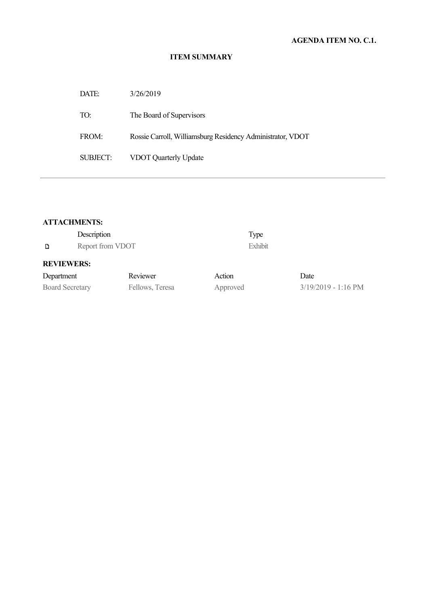| DATE:    | 3/26/2019                                                  |
|----------|------------------------------------------------------------|
| TO:      | The Board of Supervisors                                   |
| FROM:    | Rossie Carroll, Williamsburg Residency Administrator, VDOT |
| SUBJECT: | <b>VDOT Quarterly Update</b>                               |

#### **ATTACHMENTS:**

| Description            |                  |                 |          | Type    |                       |
|------------------------|------------------|-----------------|----------|---------|-----------------------|
| D                      | Report from VDOT |                 |          | Exhibit |                       |
| <b>REVIEWERS:</b>      |                  |                 |          |         |                       |
| Department             |                  | Reviewer        | Action   |         | Date                  |
| <b>Board Secretary</b> |                  | Fellows, Teresa | Approved |         | $3/19/2019 - 1:16$ PM |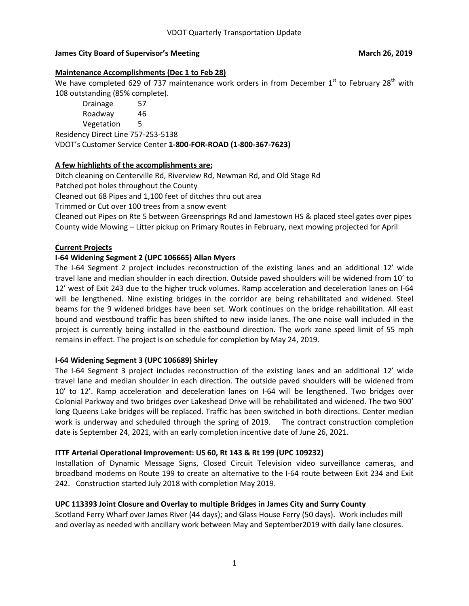#### **James City Board of Supervisor's Meeting and American control of the March 26, 2019**

#### **Maintenance Accomplishments (Dec 1 to Feb 28)**

We have completed 629 of 737 maintenance work orders in from December  $1<sup>st</sup>$  to February 28<sup>th</sup> with 108 outstanding (85% complete).

Drainage 57 Roadway 46 Vegetation 5 Residency Direct Line 757-253-5138 VDOT's Customer Service Center **1-800-FOR-ROAD (1-800-367-7623)**

#### **A few highlights of the accomplishments are:**

Ditch cleaning on Centerville Rd, Riverview Rd, Newman Rd, and Old Stage Rd Patched pot holes throughout the County

Cleaned out 68 Pipes and 1,100 feet of ditches thru out area

Trimmed or Cut over 100 trees from a snow event

Cleaned out Pipes on Rte 5 between Greensprings Rd and Jamestown HS & placed steel gates over pipes County wide Mowing – Litter pickup on Primary Routes in February, next mowing projected for April

#### **Current Projects**

#### **I-64 Widening Segment 2 (UPC 106665) Allan Myers**

The I-64 Segment 2 project includes reconstruction of the existing lanes and an additional 12' wide travel lane and median shoulder in each direction. Outside paved shoulders will be widened from 10' to 12' west of Exit 243 due to the higher truck volumes. Ramp acceleration and deceleration lanes on I-64 will be lengthened. Nine existing bridges in the corridor are being rehabilitated and widened. Steel beams for the 9 widened bridges have been set. Work continues on the bridge rehabilitation. All east bound and westbound traffic has been shifted to new inside lanes. The one noise wall included in the project is currently being installed in the eastbound direction. The work zone speed limit of 55 mph remains in effect. The project is on schedule for completion by May 24, 2019.

#### **I-64 Widening Segment 3 (UPC 106689) Shirley**

The I-64 Segment 3 project includes reconstruction of the existing lanes and an additional 12' wide travel lane and median shoulder in each direction. The outside paved shoulders will be widened from 10' to 12'. Ramp acceleration and deceleration lanes on I-64 will be lengthened. Two bridges over Colonial Parkway and two bridges over Lakeshead Drive will be rehabilitated and widened. The two 900' long Queens Lake bridges will be replaced. Traffic has been switched in both directions. Center median work is underway and scheduled through the spring of 2019. The contract construction completion date is September 24, 2021, with an early completion incentive date of June 26, 2021.

#### **ITTF Arterial Operational Improvement: US 60, Rt 143 & Rt 199 (UPC 109232)**

Installation of Dynamic Message Signs, Closed Circuit Television video surveillance cameras, and broadband modems on Route 199 to create an alternative to the I-64 route between Exit 234 and Exit 242. Construction started July 2018 with completion May 2019.

#### **UPC 113393 Joint Closure and Overlay to multiple Bridges in James City and Surry County**

Scotland Ferry Wharf over James River (44 days); and Glass House Ferry (50 days). Work includes mill and overlay as needed with ancillary work between May and September2019 with daily lane closures.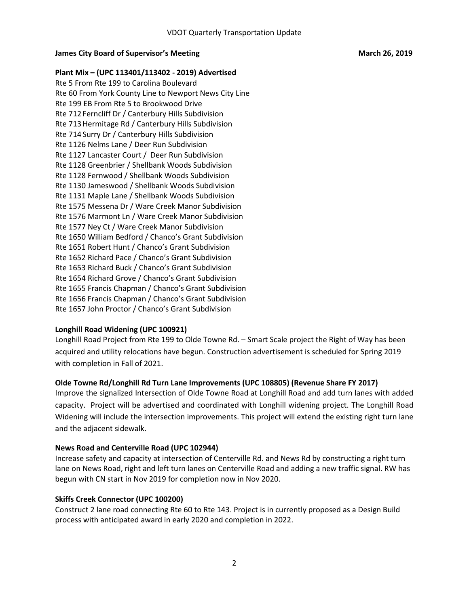#### **James City Board of Supervisor's Meeting and American control of the March 26, 2019**

**Plant Mix – (UPC 113401/113402 - 2019) Advertised** Rte 5 From Rte 199 to Carolina Boulevard Rte 60 From York County Line to Newport News City Line Rte 199 EB From Rte 5 to Brookwood Drive Rte 712 Ferncliff Dr / Canterbury Hills Subdivision Rte 713 Hermitage Rd / Canterbury Hills Subdivision Rte 714 Surry Dr / Canterbury Hills Subdivision Rte 1126 Nelms Lane / Deer Run Subdivision Rte 1127 Lancaster Court / Deer Run Subdivision Rte 1128 Greenbrier / Shellbank Woods Subdivision Rte 1128 Fernwood / Shellbank Woods Subdivision Rte 1130 Jameswood / Shellbank Woods Subdivision Rte 1131 Maple Lane / Shellbank Woods Subdivision Rte 1575 Messena Dr / Ware Creek Manor Subdivision Rte 1576 Marmont Ln / Ware Creek Manor Subdivision Rte 1577 Ney Ct / Ware Creek Manor Subdivision Rte 1650 William Bedford / Chanco's Grant Subdivision Rte 1651 Robert Hunt / Chanco's Grant Subdivision Rte 1652 Richard Pace / Chanco's Grant Subdivision Rte 1653 Richard Buck / Chanco's Grant Subdivision Rte 1654 Richard Grove / Chanco's Grant Subdivision Rte 1655 Francis Chapman / Chanco's Grant Subdivision Rte 1656 Francis Chapman / Chanco's Grant Subdivision Rte 1657 John Proctor / Chanco's Grant Subdivision

#### **Longhill Road Widening (UPC 100921)**

Longhill Road Project from Rte 199 to Olde Towne Rd. – Smart Scale project the Right of Way has been acquired and utility relocations have begun. Construction advertisement is scheduled for Spring 2019 with completion in Fall of 2021.

#### **Olde Towne Rd/Longhill Rd Turn Lane Improvements (UPC 108805) (Revenue Share FY 2017)**

Improve the signalized Intersection of Olde Towne Road at Longhill Road and add turn lanes with added capacity. Project will be advertised and coordinated with Longhill widening project. The Longhill Road Widening will include the intersection improvements. This project will extend the existing right turn lane and the adjacent sidewalk.

#### **News Road and Centerville Road (UPC 102944)**

Increase safety and capacity at intersection of Centerville Rd. and News Rd by constructing a right turn lane on News Road, right and left turn lanes on Centerville Road and adding a new traffic signal. RW has begun with CN start in Nov 2019 for completion now in Nov 2020.

#### **Skiffs Creek Connector (UPC 100200)**

Construct 2 lane road connecting Rte 60 to Rte 143. Project is in currently proposed as a Design Build process with anticipated award in early 2020 and completion in 2022.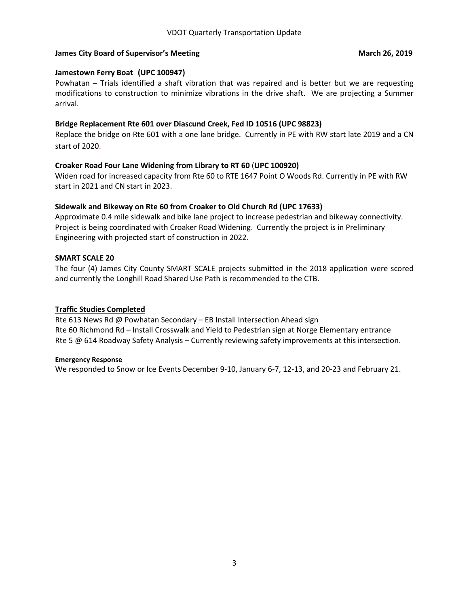#### **James City Board of Supervisor's Meeting and American control of the March 26, 2019**

#### **Jamestown Ferry Boat (UPC 100947)**

Powhatan – Trials identified a shaft vibration that was repaired and is better but we are requesting modifications to construction to minimize vibrations in the drive shaft. We are projecting a Summer arrival.

#### **Bridge Replacement Rte 601 over Diascund Creek, Fed ID 10516 (UPC 98823)**

Replace the bridge on Rte 601 with a one lane bridge. Currently in PE with RW start late 2019 and a CN start of 2020.

#### **Croaker Road Four Lane Widening from Library to RT 60** (**UPC 100920)**

Widen road for increased capacity from Rte 60 to RTE 1647 Point O Woods Rd. Currently in PE with RW start in 2021 and CN start in 2023.

#### **Sidewalk and Bikeway on Rte 60 from Croaker to Old Church Rd (UPC 17633)**

Approximate 0.4 mile sidewalk and bike lane project to increase pedestrian and bikeway connectivity. Project is being coordinated with Croaker Road Widening. Currently the project is in Preliminary Engineering with projected start of construction in 2022.

#### **SMART SCALE 20**

The four (4) James City County SMART SCALE projects submitted in the 2018 application were scored and currently the Longhill Road Shared Use Path is recommended to the CTB.

#### **Traffic Studies Completed**

Rte 613 News Rd @ Powhatan Secondary – EB Install Intersection Ahead sign Rte 60 Richmond Rd – Install Crosswalk and Yield to Pedestrian sign at Norge Elementary entrance Rte 5 @ 614 Roadway Safety Analysis – Currently reviewing safety improvements at this intersection.

#### **Emergency Response**

We responded to Snow or Ice Events December 9-10, January 6-7, 12-13, and 20-23 and February 21.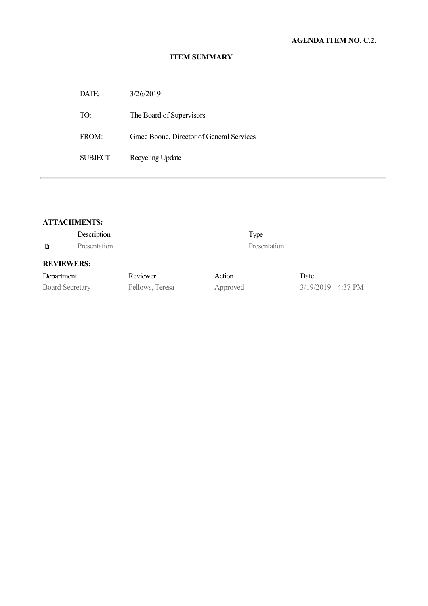| DATE:                | 3/26/2019                                 |
|----------------------|-------------------------------------------|
| TO:                  | The Board of Supervisors                  |
| FROM                 | Grace Boone, Director of General Services |
| SUBJECT <sup>.</sup> | Recycling Update                          |

#### **ATTACHMENTS:**

|                        | Description  |                 |          | Type         |                               |
|------------------------|--------------|-----------------|----------|--------------|-------------------------------|
| D                      | Presentation |                 |          | Presentation |                               |
| <b>REVIEWERS:</b>      |              |                 |          |              |                               |
| Department             |              | Reviewer        | Action   |              | Date                          |
| <b>Board Secretary</b> |              | Fellows, Teresa | Approved |              | $3/19/2019 - 4:37 \text{ PM}$ |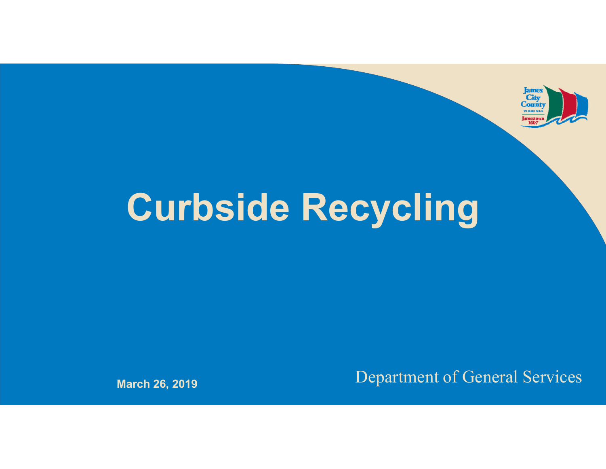

# **Curbside Recycling**

Department of General Services **March 26, 2019**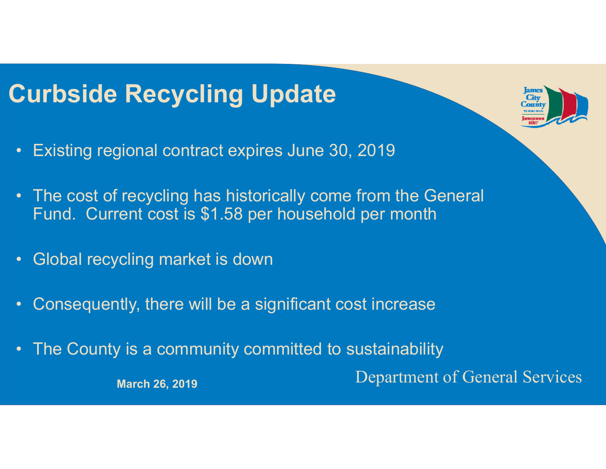## **Curbside Recycling Update**

- $\bullet$ Existing regional contract expires June 30, 2019
- • The cost of recycling has historically come from the General Fund. Current cost is \$1.58 per household per month
- $\bullet$ Global recycling market is down
- $\bullet$ Consequently, there will be a significant cost increase
- •The County is a community committed to sustainability

March 26, 2019<br>
March 26, 2019

City Count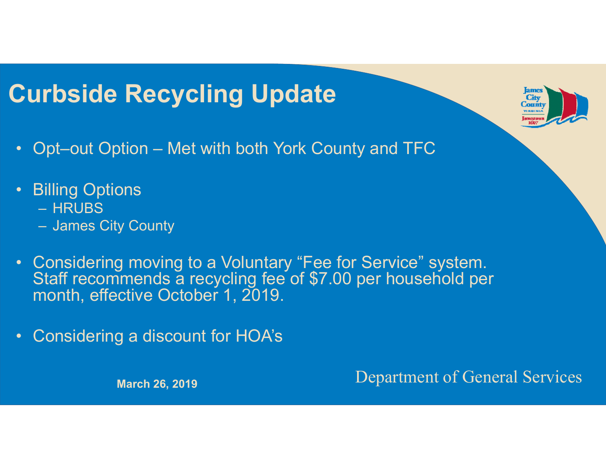## **Curbside Recycling Update**

- $\bullet$ Opt–out Option – Met with both York County and TFC
- • Billing Options
	- HRUBS
	- James City County
- $\bullet$  Considering moving to a Voluntary "Fee for Service" system. Staff recommends a recycling fee of \$7.00 per household per month, effective October 1, 2019.
- $\bullet$ Considering a discount for HOA's

Department of General Services **March 26, 2019**

City Count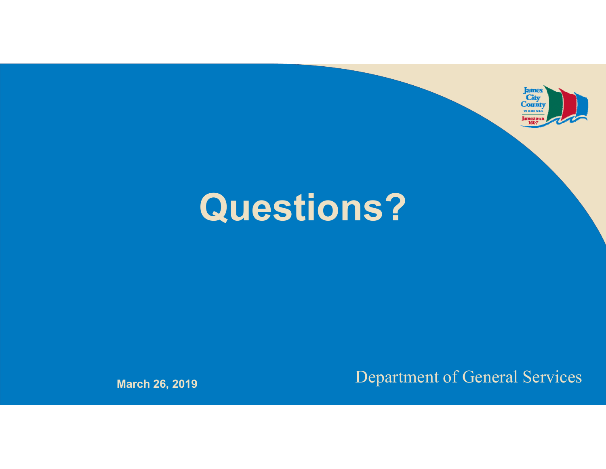

## **Questions?**

Department of General Services **March 26, 2019**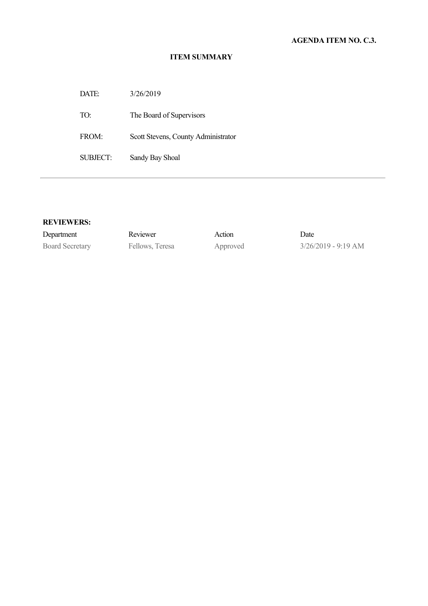DATE: 3/26/2019

TO: The Board of Supervisors

FROM: Scott Stevens, County Administrator

SUBJECT: Sandy Bay Shoal

#### **REVIEWERS:**

Department Reviewer Action Date

Board Secretary Fellows, Teresa Approved 3/26/2019 - 9:19 AM